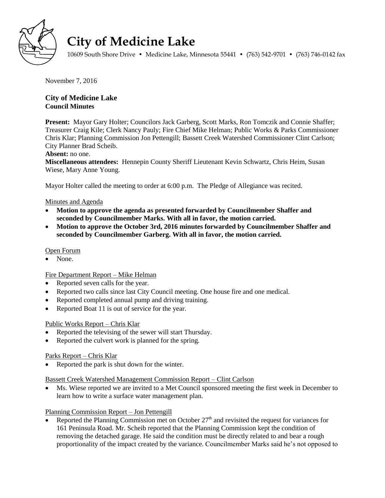

# **City of Medicine Lake**

10609 South Shore Drive • Medicine Lake, Minnesota 55441 • (763) 542-9701 • (763) 746-0142 fax

November 7, 2016

# **City of Medicine Lake Council Minutes**

**Present:** Mayor Gary Holter; Councilors Jack Garberg, Scott Marks, Ron Tomczik and Connie Shaffer; Treasurer Craig Kile; Clerk Nancy Pauly; Fire Chief Mike Helman; Public Works & Parks Commissioner Chris Klar; Planning Commission Jon Pettengill; Bassett Creek Watershed Commissioner Clint Carlson; City Planner Brad Scheib.

# **Absent:** no one.

**Miscellaneous attendees:** Hennepin County Sheriff Lieutenant Kevin Schwartz, Chris Heim, Susan Wiese, Mary Anne Young.

Mayor Holter called the meeting to order at 6:00 p.m. The Pledge of Allegiance was recited.

## Minutes and Agenda

- **Motion to approve the agenda as presented forwarded by Councilmember Shaffer and seconded by Councilmember Marks. With all in favor, the motion carried.**
- **Motion to approve the October 3rd, 2016 minutes forwarded by Councilmember Shaffer and seconded by Councilmember Garberg. With all in favor, the motion carried.**

## Open Forum

• None.

# Fire Department Report – Mike Helman

- Reported seven calls for the year.
- Reported two calls since last City Council meeting. One house fire and one medical.
- Reported completed annual pump and driving training.
- Reported Boat 11 is out of service for the year.

# Public Works Report – Chris Klar

- Reported the televising of the sewer will start Thursday.
- Reported the culvert work is planned for the spring.

## Parks Report – Chris Klar

• Reported the park is shut down for the winter.

## Bassett Creek Watershed Management Commission Report – Clint Carlson

 Ms. Wiese reported we are invited to a Met Council sponsored meeting the first week in December to learn how to write a surface water management plan.

# Planning Commission Report – Jon Pettengill

Reported the Planning Commission met on October  $27<sup>th</sup>$  and revisited the request for variances for 161 Peninsula Road. Mr. Scheib reported that the Planning Commission kept the condition of removing the detached garage. He said the condition must be directly related to and bear a rough proportionality of the impact created by the variance. Councilmember Marks said he's not opposed to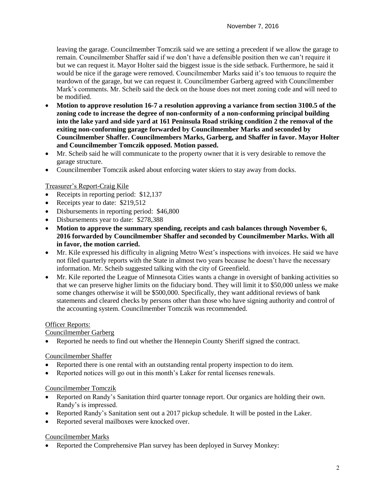leaving the garage. Councilmember Tomczik said we are setting a precedent if we allow the garage to remain. Councilmember Shaffer said if we don't have a defensible position then we can't require it but we can request it. Mayor Holter said the biggest issue is the side setback. Furthermore, he said it would be nice if the garage were removed. Councilmember Marks said it's too tenuous to require the teardown of the garage, but we can request it. Councilmember Garberg agreed with Councilmember Mark's comments. Mr. Scheib said the deck on the house does not meet zoning code and will need to be modified.

- **Motion to approve resolution 16-7 a resolution approving a variance from section 3100.5 of the zoning code to increase the degree of non-conformity of a non-conforming principal building into the lake yard and side yard at 161 Peninsula Road striking condition 2 the removal of the exiting non-conforming garage forwarded by Councilmember Marks and seconded by Councilmember Shaffer. Councilmembers Marks, Garberg, and Shaffer in favor. Mayor Holter and Councilmember Tomczik opposed. Motion passed.**
- Mr. Scheib said he will communicate to the property owner that it is very desirable to remove the garage structure.
- Councilmember Tomczik asked about enforcing water skiers to stay away from docks.

## Treasurer's Report-Craig Kile

- Receipts in reporting period: \$12,137
- Receipts year to date: \$219,512
- Disbursements in reporting period: \$46,800
- Disbursements year to date: \$278,388
- **Motion to approve the summary spending, receipts and cash balances through November 6, 2016 forwarded by Councilmember Shaffer and seconded by Councilmember Marks. With all in favor, the motion carried.**
- Mr. Kile expressed his difficulty in aligning Metro West's inspections with invoices. He said we have not filed quarterly reports with the State in almost two years because he doesn't have the necessary information. Mr. Scheib suggested talking with the city of Greenfield.
- Mr. Kile reported the League of Minnesota Cities wants a change in oversight of banking activities so that we can preserve higher limits on the fiduciary bond. They will limit it to \$50,000 unless we make some changes otherwise it will be \$500,000. Specifically, they want additional reviews of bank statements and cleared checks by persons other than those who have signing authority and control of the accounting system. Councilmember Tomczik was recommended.

## Officer Reports:

## Councilmember Garberg

Reported he needs to find out whether the Hennepin County Sheriff signed the contract.

## Councilmember Shaffer

- Reported there is one rental with an outstanding rental property inspection to do item.
- Reported notices will go out in this month's Laker for rental licenses renewals.

## Councilmember Tomczik

- Reported on Randy's Sanitation third quarter tonnage report. Our organics are holding their own. Randy's is impressed.
- Reported Randy's Sanitation sent out a 2017 pickup schedule. It will be posted in the Laker.
- Reported several mailboxes were knocked over.

## Councilmember Marks

• Reported the Comprehensive Plan survey has been deployed in Survey Monkey: